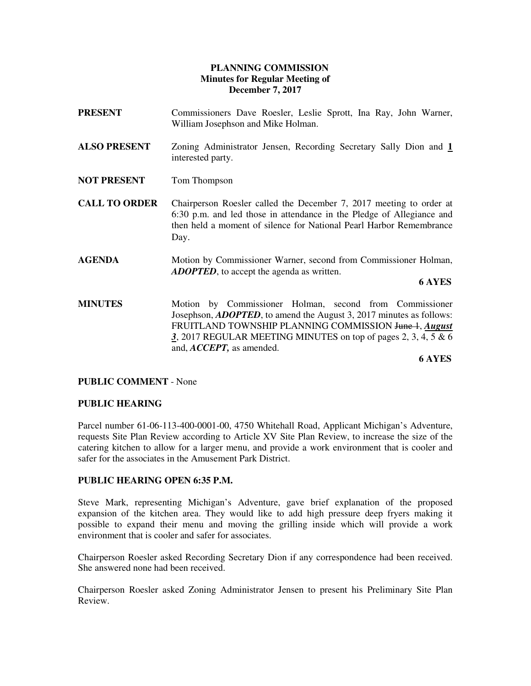## **PLANNING COMMISSION Minutes for Regular Meeting of December 7, 2017**

| PRESENT              | Commissioners Dave Roesler, Leslie Sprott, Ina Ray, John Warner,<br>William Josephson and Mike Holman.                                                                                                                                                                                                      |
|----------------------|-------------------------------------------------------------------------------------------------------------------------------------------------------------------------------------------------------------------------------------------------------------------------------------------------------------|
| <b>ALSO PRESENT</b>  | Zoning Administrator Jensen, Recording Secretary Sally Dion and 1<br>interested party.                                                                                                                                                                                                                      |
| NOT PRESENT          | Tom Thompson                                                                                                                                                                                                                                                                                                |
| <b>CALL TO ORDER</b> | Chairperson Roesler called the December 7, 2017 meeting to order at<br>6:30 p.m. and led those in attendance in the Pledge of Allegiance and<br>then held a moment of silence for National Pearl Harbor Remembrance<br>Day.                                                                                 |
| <b>AGENDA</b>        | Motion by Commissioner Warner, second from Commissioner Holman,<br><b>ADOPTED</b> , to accept the agenda as written.<br><b>6 AYES</b>                                                                                                                                                                       |
| <b>MINUTES</b>       | by Commissioner Holman, second from Commissioner<br>Motion<br>Josephson, <i>ADOPTED</i> , to amend the August 3, 2017 minutes as follows:<br>FRUITLAND TOWNSHIP PLANNING COMMISSION June 1, August<br>3, 2017 REGULAR MEETING MINUTES on top of pages 2, 3, 4, 5 $\&$ 6<br>and, <i>ACCEPT</i> , as amended. |

**6 AYES**

## **PUBLIC COMMENT** - None

#### **PUBLIC HEARING**

Parcel number 61-06-113-400-0001-00, 4750 Whitehall Road, Applicant Michigan's Adventure, requests Site Plan Review according to Article XV Site Plan Review, to increase the size of the catering kitchen to allow for a larger menu, and provide a work environment that is cooler and safer for the associates in the Amusement Park District.

#### **PUBLIC HEARING OPEN 6:35 P.M.**

Steve Mark, representing Michigan's Adventure, gave brief explanation of the proposed expansion of the kitchen area. They would like to add high pressure deep fryers making it possible to expand their menu and moving the grilling inside which will provide a work environment that is cooler and safer for associates.

Chairperson Roesler asked Recording Secretary Dion if any correspondence had been received. She answered none had been received.

Chairperson Roesler asked Zoning Administrator Jensen to present his Preliminary Site Plan Review.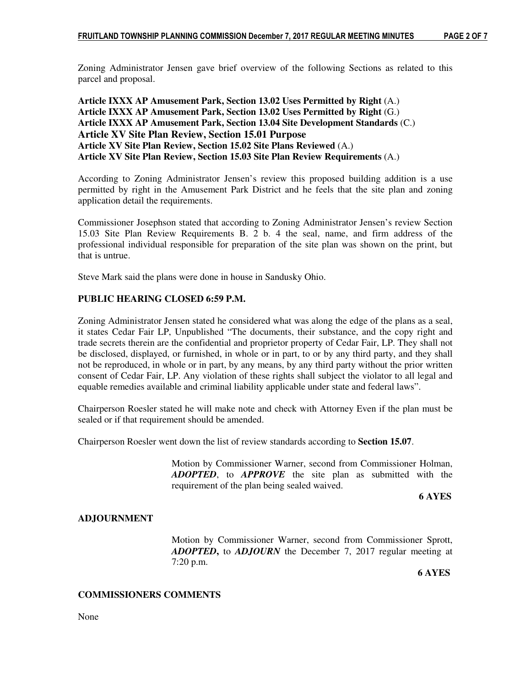Zoning Administrator Jensen gave brief overview of the following Sections as related to this parcel and proposal.

**Article IXXX AP Amusement Park, Section 13.02 Uses Permitted by Right** (A.) **Article IXXX AP Amusement Park, Section 13.02 Uses Permitted by Right** (G.) **Article IXXX AP Amusement Park, Section 13.04 Site Development Standards** (C.) **Article XV Site Plan Review, Section 15.01 Purpose Article XV Site Plan Review, Section 15.02 Site Plans Reviewed** (A.) **Article XV Site Plan Review, Section 15.03 Site Plan Review Requirements** (A.)

According to Zoning Administrator Jensen's review this proposed building addition is a use permitted by right in the Amusement Park District and he feels that the site plan and zoning application detail the requirements.

Commissioner Josephson stated that according to Zoning Administrator Jensen's review Section 15.03 Site Plan Review Requirements B. 2 b. 4 the seal, name, and firm address of the professional individual responsible for preparation of the site plan was shown on the print, but that is untrue.

Steve Mark said the plans were done in house in Sandusky Ohio.

## **PUBLIC HEARING CLOSED 6:59 P.M.**

Zoning Administrator Jensen stated he considered what was along the edge of the plans as a seal, it states Cedar Fair LP, Unpublished "The documents, their substance, and the copy right and trade secrets therein are the confidential and proprietor property of Cedar Fair, LP. They shall not be disclosed, displayed, or furnished, in whole or in part, to or by any third party, and they shall not be reproduced, in whole or in part, by any means, by any third party without the prior written consent of Cedar Fair, LP. Any violation of these rights shall subject the violator to all legal and equable remedies available and criminal liability applicable under state and federal laws".

Chairperson Roesler stated he will make note and check with Attorney Even if the plan must be sealed or if that requirement should be amended.

Chairperson Roesler went down the list of review standards according to **Section 15.07**.

Motion by Commissioner Warner, second from Commissioner Holman, *ADOPTED*, to *APPROVE* the site plan as submitted with the requirement of the plan being sealed waived.

#### **6 AYES**

## **ADJOURNMENT**

Motion by Commissioner Warner, second from Commissioner Sprott, *ADOPTED***,** to *ADJOURN* the December 7, 2017 regular meeting at 7:20 p.m.

 **6 AYES** 

## **COMMISSIONERS COMMENTS**

None